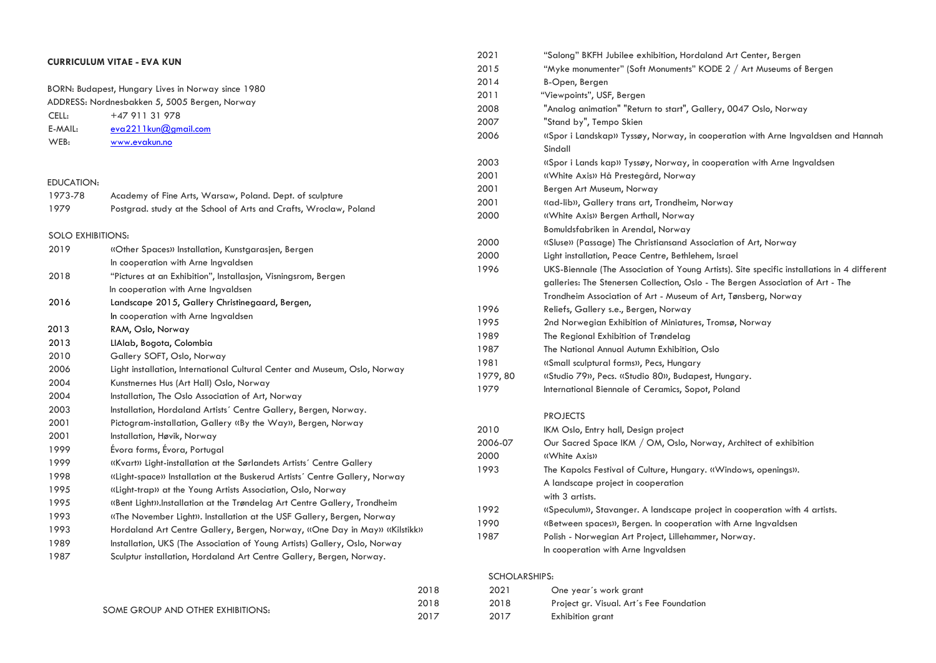| <b>CURRICULUM VITAE - EVA KUN</b> |                                                                              | 2021          | "Salong" BKFH Jubilee exhibition, Hordaland Art Center, Bergen                              |
|-----------------------------------|------------------------------------------------------------------------------|---------------|---------------------------------------------------------------------------------------------|
|                                   |                                                                              | 2015          | "Myke monumenter" (Soft Monuments" KODE 2 / Art Museums of Bergen                           |
|                                   | BORN: Budapest, Hungary Lives in Norway since 1980                           | 2014          | B-Open, Bergen                                                                              |
|                                   | ADDRESS: Nordnesbakken 5, 5005 Bergen, Norway                                | 2011          | "Viewpoints", USF, Bergen                                                                   |
| +47 911 31 978<br>CELL:           |                                                                              | 2008          | "Analog animation" "Return to start", Gallery, 0047 Oslo, Norway                            |
| E-MAIL:                           | eva2211kun@gmail.com                                                         | 2007          | "Stand by", Tempo Skien                                                                     |
| WEB:                              | www.evakun.no                                                                | 2006          | «Spor i Landskap» Tyssøy, Norway, in cooperation with Arne Ingvaldsen and Hannah<br>Sindall |
|                                   |                                                                              | 2003          | (Spor i Lands kap) Tyssøy, Norway, in cooperation with Arne Ingvaldsen                      |
|                                   |                                                                              | 2001          | «White Axis» Hå Prestegård, Norway                                                          |
| EDUCATION:                        |                                                                              | 2001          | Bergen Art Museum, Norway                                                                   |
| 1973-78                           | Academy of Fine Arts, Warsaw, Poland. Dept. of sculpture                     | 2001          | «ad-lib», Gallery trans art, Trondheim, Norway                                              |
| 1979                              | Postgrad. study at the School of Arts and Crafts, Wroclaw, Poland            | 2000          | «White Axis» Bergen Arthall, Norway                                                         |
|                                   |                                                                              |               | Bomuldsfabriken in Arendal, Norway                                                          |
| <b>SOLO EXHIBITIONS:</b>          |                                                                              | 2000          | «Sluse» (Passage) The Christiansand Association of Art, Norway                              |
| 2019                              | «Other Spaces» Installation, Kunstgarasjen, Bergen                           | 2000          | Light installation, Peace Centre, Bethlehem, Israel                                         |
|                                   | In cooperation with Arne Ingvaldsen                                          | 1996          | UKS-Biennale (The Association of Young Artists). Site specific installations in 4 different |
| 2018                              | "Pictures at an Exhibition", Installasjon, Visningsrom, Bergen               |               | galleries: The Stenersen Collection, Oslo - The Bergen Association of Art - The             |
|                                   | In cooperation with Arne Ingvaldsen                                          |               | Trondheim Association of Art - Museum of Art, Tønsberg, Norway                              |
| 2016                              | Landscape 2015, Gallery Christinegaard, Bergen,                              | 1996          | Reliefs, Gallery s.e., Bergen, Norway                                                       |
|                                   | In cooperation with Arne Ingvaldsen                                          | 1995          | 2nd Norwegian Exhibition of Miniatures, Tromsø, Norway                                      |
| 2013                              | RAM, Oslo, Norway                                                            | 1989          | The Regional Exhibition of Trøndelag                                                        |
| 2013                              | LIAlab, Bogota, Colombia                                                     | 1987          | The National Annual Autumn Exhibition, Oslo                                                 |
| 2010                              | Gallery SOFT, Oslo, Norway                                                   | 1981          | «Small sculptural forms», Pecs, Hungary                                                     |
| 2006                              | Light installation, International Cultural Center and Museum, Oslo, Norway   | 1979, 80      | «Studio 79», Pecs. «Studio 80», Budapest, Hungary.                                          |
| 2004                              | Kunstnernes Hus (Art Hall) Oslo, Norway                                      | 1979          | International Biennale of Ceramics, Sopot, Poland                                           |
| 2004                              | Installation, The Oslo Association of Art, Norway                            |               |                                                                                             |
| 2003                              | Installation, Hordaland Artists' Centre Gallery, Bergen, Norway.             |               | <b>PROJECTS</b>                                                                             |
| 2001                              | Pictogram-installation, Gallery «By the Way», Bergen, Norway                 | 2010          | IKM Oslo, Entry hall, Design project                                                        |
| 2001                              | Installation, Høvik, Norway                                                  | 2006-07       | Our Sacred Space IKM / OM, Oslo, Norway, Architect of exhibition                            |
| 1999                              | Évora forms, Évora, Portugal                                                 | 2000          | «White Axis»                                                                                |
| 1999                              | (Kvart) Light-installation at the Sørlandets Artists' Centre Gallery         | 1993          | The Kapolcs Festival of Culture, Hungary. «Windows, openings».                              |
| 1998                              | ((Light-space)) Installation at the Buskerud Artists' Centre Gallery, Norway |               | A landscape project in cooperation                                                          |
| 1995                              | «Light-trap» at the Young Artists Association, Oslo, Norway                  |               | with 3 artists.                                                                             |
| 1995                              | «Bent Light».Installation at the Trøndelag Art Centre Gallery, Trondheim     | 1992          | «Speculum», Stavanger. A landscape project in cooperation with 4 artists.                   |
| 1993                              | «The November Light». Installation at the USF Gallery, Bergen, Norway        | 1990          | «Between spaces», Bergen. In cooperation with Arne Ingvaldsen                               |
| 1993                              | Hordaland Art Centre Gallery, Bergen, Norway, «One Day in May» «Kilstikk»    | 1987          | Polish - Norwegian Art Project, Lillehammer, Norway.                                        |
| 1989                              | Installation, UKS (The Association of Young Artists) Gallery, Oslo, Norway   |               | In cooperation with Arne Ingvaldsen                                                         |
| 1987                              | Sculptur installation, Hordaland Art Centre Gallery, Bergen, Norway.         |               |                                                                                             |
|                                   |                                                                              | SCHOLARSHIPS: |                                                                                             |
|                                   |                                                                              | 2018<br>2021  | One year's work grant                                                                       |

2018 2018 Project gr. Visual. Art´s Fee Foundation

|                                   | ---  | ---- |                   |
|-----------------------------------|------|------|-------------------|
| SOME GROUP AND OTHER EXHIBITIONS: | 2018 | 2018 | Project gr. Visua |
|                                   | 2017 | 2017 | Exhibition grant  |